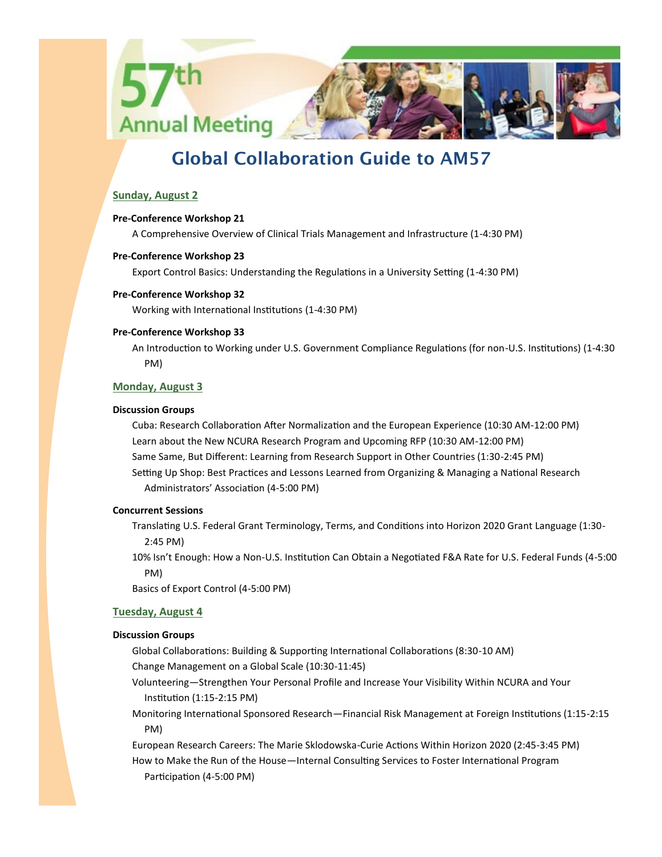

# **Global Collaboration Guide to AM57**

# **Sunday, August 2**

## **Pre-Conference Workshop 21**

A Comprehensive Overview of Clinical Trials Management and Infrastructure (1-4:30 PM)

## **Pre-Conference Workshop 23**

Export Control Basics: Understanding the Regulations in a University Setting (1-4:30 PM)

## **Pre-Conference Workshop 32**

Working with International Institutions (1-4:30 PM)

# **Pre-Conference Workshop 33**

An Introduction to Working under U.S. Government Compliance Regulations (for non-U.S. Institutions) (1-4:30 PM)

# **Monday, August 3**

# **Discussion Groups**

Cuba: Research Collaboration After Normalization and the European Experience (10:30 AM-12:00 PM) Learn about the New NCURA Research Program and Upcoming RFP (10:30 AM-12:00 PM) Same Same, But Different: Learning from Research Support in Other Countries (1:30-2:45 PM) Setting Up Shop: Best Practices and Lessons Learned from Organizing & Managing a National Research Administrators' Association (4-5:00 PM)

# **Concurrent Sessions**

Translating U.S. Federal Grant Terminology, Terms, and Conditions into Horizon 2020 Grant Language (1:30- 2:45 PM)

10% Isn't Enough: How a Non-U.S. Institution Can Obtain a Negotiated F&A Rate for U.S. Federal Funds (4-5:00 PM)

Basics of Export Control (4-5:00 PM)

# **Tuesday, August 4**

## **Discussion Groups**

Global Collaborations: Building & Supporting International Collaborations (8:30-10 AM)

Change Management on a Global Scale (10:30-11:45)

- Volunteering—Strengthen Your Personal Profile and Increase Your Visibility Within NCURA and Your Institution (1:15-2:15 PM)
- Monitoring International Sponsored Research—Financial Risk Management at Foreign Institutions (1:15-2:15 PM)

European Research Careers: The Marie Sklodowska-Curie Actions Within Horizon 2020 (2:45-3:45 PM)

How to Make the Run of the House—Internal Consulting Services to Foster International Program Participation (4-5:00 PM)